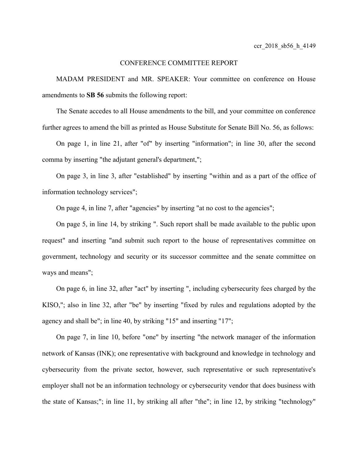## CONFERENCE COMMITTEE REPORT

MADAM PRESIDENT and MR. SPEAKER: Your committee on conference on House amendments to **SB 56** submits the following report:

The Senate accedes to all House amendments to the bill, and your committee on conference further agrees to amend the bill as printed as House Substitute for Senate Bill No. 56, as follows:

On page 1, in line 21, after "of" by inserting "information"; in line 30, after the second comma by inserting "the adjutant general's department,";

On page 3, in line 3, after "established" by inserting "within and as a part of the office of information technology services";

On page 4, in line 7, after "agencies" by inserting "at no cost to the agencies";

On page 5, in line 14, by striking ". Such report shall be made available to the public upon request" and inserting "and submit such report to the house of representatives committee on government, technology and security or its successor committee and the senate committee on ways and means";

On page 6, in line 32, after "act" by inserting ", including cybersecurity fees charged by the KISO,"; also in line 32, after "be" by inserting "fixed by rules and regulations adopted by the agency and shall be"; in line 40, by striking "15" and inserting "17";

On page 7, in line 10, before "one" by inserting "the network manager of the information network of Kansas (INK); one representative with background and knowledge in technology and cybersecurity from the private sector, however, such representative or such representative's employer shall not be an information technology or cybersecurity vendor that does business with the state of Kansas;"; in line 11, by striking all after "the"; in line 12, by striking "technology"